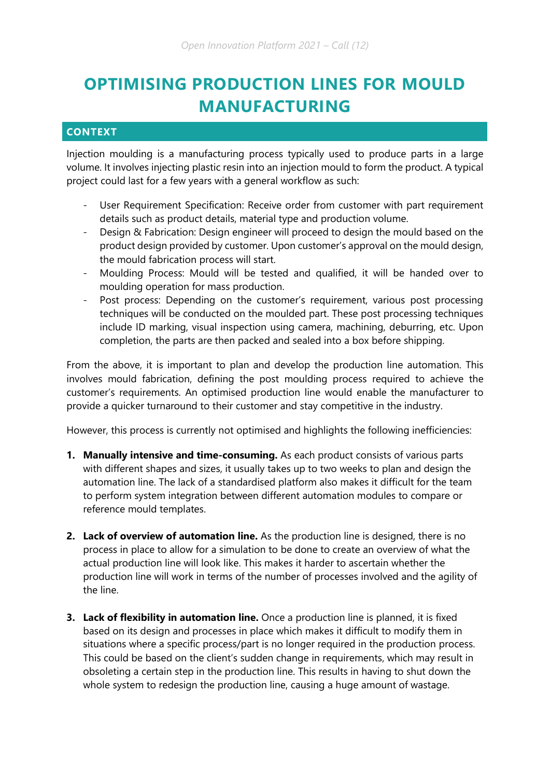# **OPTIMISING PRODUCTION LINES FOR MOULD MANUFACTURING**

# **CONTEXT**

Injection moulding is a manufacturing process typically used to produce parts in a large volume. It involves injecting plastic resin into an injection mould to form the product. A typical project could last for a few years with a general workflow as such:

- User Requirement Specification: Receive order from customer with part requirement details such as product details, material type and production volume.
- Design & Fabrication: Design engineer will proceed to design the mould based on the product design provided by customer. Upon customer's approval on the mould design, the mould fabrication process will start.
- Moulding Process: Mould will be tested and qualified, it will be handed over to moulding operation for mass production.
- Post process: Depending on the customer's requirement, various post processing techniques will be conducted on the moulded part. These post processing techniques include ID marking, visual inspection using camera, machining, deburring, etc. Upon completion, the parts are then packed and sealed into a box before shipping.

From the above, it is important to plan and develop the production line automation. This involves mould fabrication, defining the post moulding process required to achieve the customer's requirements. An optimised production line would enable the manufacturer to provide a quicker turnaround to their customer and stay competitive in the industry.

However, this process is currently not optimised and highlights the following inefficiencies:

- **1. Manually intensive and time-consuming.** As each product consists of various parts with different shapes and sizes, it usually takes up to two weeks to plan and design the automation line. The lack of a standardised platform also makes it difficult for the team to perform system integration between different automation modules to compare or reference mould templates.
- **2. Lack of overview of automation line.** As the production line is designed, there is no process in place to allow for a simulation to be done to create an overview of what the actual production line will look like. This makes it harder to ascertain whether the production line will work in terms of the number of processes involved and the agility of the line.
- **3. Lack of flexibility in automation line.** Once a production line is planned, it is fixed based on its design and processes in place which makes it difficult to modify them in situations where a specific process/part is no longer required in the production process. This could be based on the client's sudden change in requirements, which may result in obsoleting a certain step in the production line. This results in having to shut down the whole system to redesign the production line, causing a huge amount of wastage.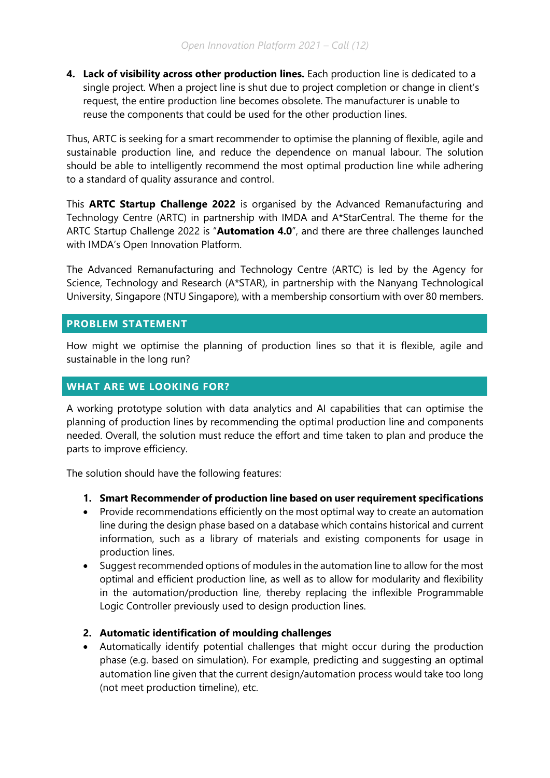**4. Lack of visibility across other production lines.** Each production line is dedicated to a single project. When a project line is shut due to project completion or change in client's request, the entire production line becomes obsolete. The manufacturer is unable to reuse the components that could be used for the other production lines.

Thus, ARTC is seeking for a smart recommender to optimise the planning of flexible, agile and sustainable production line, and reduce the dependence on manual labour. The solution should be able to intelligently recommend the most optimal production line while adhering to a standard of quality assurance and control.

This **ARTC Startup Challenge 2022** is organised by the Advanced Remanufacturing and Technology Centre (ARTC) in partnership with IMDA and A\*StarCentral. The theme for the ARTC Startup Challenge 2022 is "**Automation 4.0**", and there are three challenges launched with IMDA's Open Innovation Platform.

The Advanced Remanufacturing and Technology Centre (ARTC) is led by the Agency for Science, Technology and Research (A\*STAR), in partnership with the Nanyang Technological University, Singapore (NTU Singapore), with a membership consortium with over 80 members.

## **PROBLEM STATEMENT**

How might we optimise the planning of production lines so that it is flexible, agile and sustainable in the long run?

# **WHAT ARE WE LOOKING FOR?**

A working prototype solution with data analytics and AI capabilities that can optimise the planning of production lines by recommending the optimal production line and components needed. Overall, the solution must reduce the effort and time taken to plan and produce the parts to improve efficiency.

The solution should have the following features:

- **1. Smart Recommender of production line based on user requirement specifications**
- Provide recommendations efficiently on the most optimal way to create an automation line during the design phase based on a database which contains historical and current information, such as a library of materials and existing components for usage in production lines.
- Suggest recommended options of modules in the automation line to allow for the most optimal and efficient production line, as well as to allow for modularity and flexibility in the automation/production line, thereby replacing the inflexible Programmable Logic Controller previously used to design production lines.

## **2. Automatic identification of moulding challenges**

 Automatically identify potential challenges that might occur during the production phase (e.g. based on simulation). For example, predicting and suggesting an optimal automation line given that the current design/automation process would take too long (not meet production timeline), etc.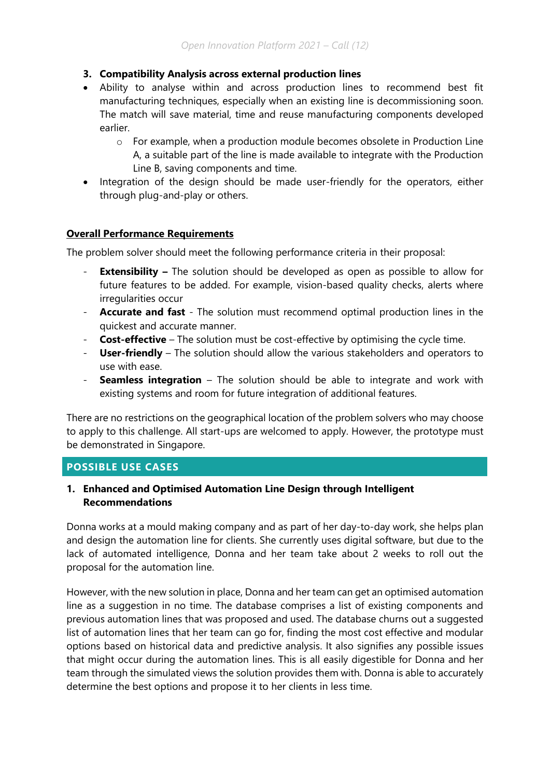#### **3. Compatibility Analysis across external production lines**

- Ability to analyse within and across production lines to recommend best fit manufacturing techniques, especially when an existing line is decommissioning soon. The match will save material, time and reuse manufacturing components developed earlier.
	- o For example, when a production module becomes obsolete in Production Line A, a suitable part of the line is made available to integrate with the Production Line B, saving components and time.
- Integration of the design should be made user-friendly for the operators, either through plug-and-play or others.

#### **Overall Performance Requirements**

The problem solver should meet the following performance criteria in their proposal:

- **Extensibility –** The solution should be developed as open as possible to allow for future features to be added. For example, vision-based quality checks, alerts where irregularities occur
- Accurate and fast The solution must recommend optimal production lines in the quickest and accurate manner.
- **Cost-effective** The solution must be cost-effective by optimising the cycle time.
- **User-friendly**  The solution should allow the various stakeholders and operators to use with ease.
- **Seamless integration**  The solution should be able to integrate and work with existing systems and room for future integration of additional features.

There are no restrictions on the geographical location of the problem solvers who may choose to apply to this challenge. All start-ups are welcomed to apply. However, the prototype must be demonstrated in Singapore.

#### **POSSIBLE USE CASES**

#### **1. Enhanced and Optimised Automation Line Design through Intelligent Recommendations**

Donna works at a mould making company and as part of her day-to-day work, she helps plan and design the automation line for clients. She currently uses digital software, but due to the lack of automated intelligence, Donna and her team take about 2 weeks to roll out the proposal for the automation line.

However, with the new solution in place, Donna and her team can get an optimised automation line as a suggestion in no time. The database comprises a list of existing components and previous automation lines that was proposed and used. The database churns out a suggested list of automation lines that her team can go for, finding the most cost effective and modular options based on historical data and predictive analysis. It also signifies any possible issues that might occur during the automation lines. This is all easily digestible for Donna and her team through the simulated views the solution provides them with. Donna is able to accurately determine the best options and propose it to her clients in less time.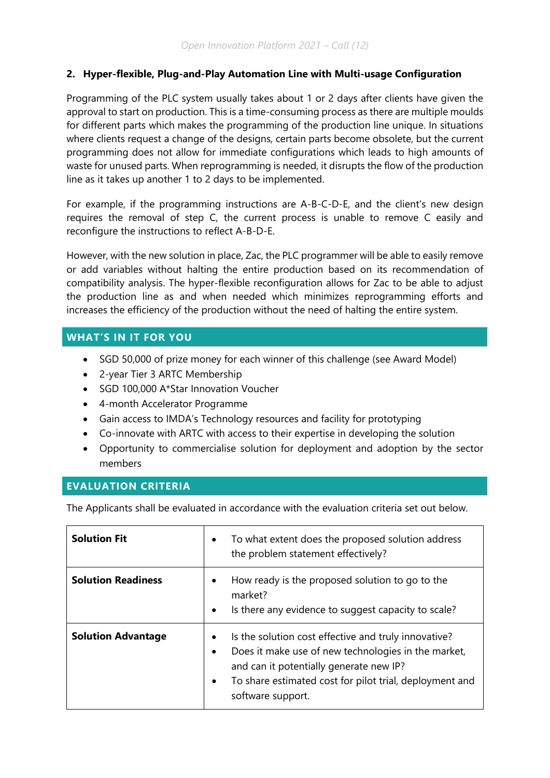## **2. Hyper-flexible, Plug-and-Play Automation Line with Multi-usage Configuration**

Programming of the PLC system usually takes about 1 or 2 days after clients have given the approval to start on production. This is a time-consuming process as there are multiple moulds for different parts which makes the programming of the production line unique. In situations where clients request a change of the designs, certain parts become obsolete, but the current programming does not allow for immediate configurations which leads to high amounts of waste for unused parts. When reprogramming is needed, it disrupts the flow of the production line as it takes up another 1 to 2 days to be implemented.

For example, if the programming instructions are A-B-C-D-E, and the client's new design requires the removal of step C, the current process is unable to remove C easily and reconfigure the instructions to reflect A-B-D-E.

However, with the new solution in place, Zac, the PLC programmer will be able to easily remove or add variables without halting the entire production based on its recommendation of compatibility analysis. The hyper-flexible reconfiguration allows for Zac to be able to adjust the production line as and when needed which minimizes reprogramming efforts and increases the efficiency of the production without the need of halting the entire system.

# **WHAT'S IN IT FOR YOU**

- SGD 50,000 of prize money for each winner of this challenge (see Award Model)
- 2-year Tier 3 ARTC Membership
- SGD 100,000 A\*Star Innovation Voucher
- 4-month Accelerator Programme
- Gain access to IMDA's Technology resources and facility for prototyping
- Co-innovate with ARTC with access to their expertise in developing the solution
- Opportunity to commercialise solution for deployment and adoption by the sector members

#### **EVALUATION CRITERIA**

The Applicants shall be evaluated in accordance with the evaluation criteria set out below.

| <b>Solution Fit</b>       | To what extent does the proposed solution address<br>$\bullet$<br>the problem statement effectively?                                                                                                                                                                          |
|---------------------------|-------------------------------------------------------------------------------------------------------------------------------------------------------------------------------------------------------------------------------------------------------------------------------|
| <b>Solution Readiness</b> | How ready is the proposed solution to go to the<br>$\bullet$<br>market?<br>Is there any evidence to suggest capacity to scale?<br>$\bullet$                                                                                                                                   |
| <b>Solution Advantage</b> | Is the solution cost effective and truly innovative?<br>$\bullet$<br>Does it make use of new technologies in the market,<br>$\bullet$<br>and can it potentially generate new IP?<br>To share estimated cost for pilot trial, deployment and<br>$\bullet$<br>software support. |